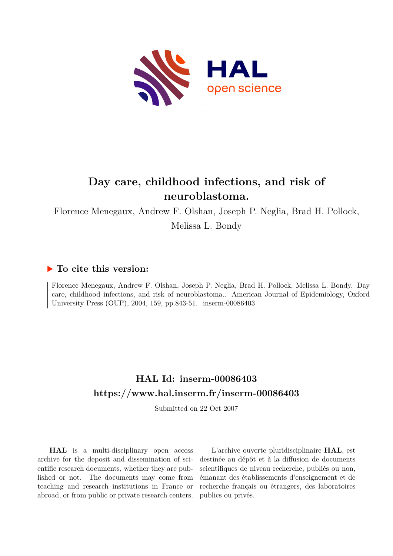

# **Day care, childhood infections, and risk of neuroblastoma.**

Florence Menegaux, Andrew F. Olshan, Joseph P. Neglia, Brad H. Pollock,

Melissa L. Bondy

## **To cite this version:**

Florence Menegaux, Andrew F. Olshan, Joseph P. Neglia, Brad H. Pollock, Melissa L. Bondy. Day care, childhood infections, and risk of neuroblastoma.. American Journal of Epidemiology, Oxford University Press (OUP), 2004, 159, pp.843-51. inserm-00086403

## **HAL Id: inserm-00086403 <https://www.hal.inserm.fr/inserm-00086403>**

Submitted on 22 Oct 2007

**HAL** is a multi-disciplinary open access archive for the deposit and dissemination of scientific research documents, whether they are published or not. The documents may come from teaching and research institutions in France or abroad, or from public or private research centers.

L'archive ouverte pluridisciplinaire **HAL**, est destinée au dépôt et à la diffusion de documents scientifiques de niveau recherche, publiés ou non, émanant des établissements d'enseignement et de recherche français ou étrangers, des laboratoires publics ou privés.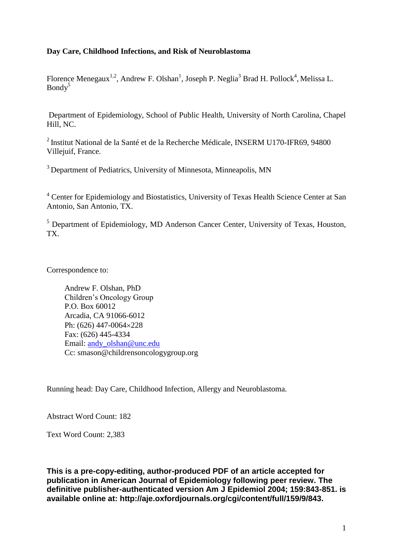## **Day Care, Childhood Infections, and Risk of Neuroblastoma**

Florence Menegaux<sup>1,2</sup>, Andrew F. Olshan<sup>1</sup>, Joseph P. Neglia<sup>3</sup> Brad H. Pollock<sup>4</sup>, Melissa L.  $Bondv^5$ 

Department of Epidemiology, School of Public Health, University of North Carolina, Chapel Hill, NC.

<sup>2</sup>Institut National de la Santé et de la Recherche Médicale, INSERM U170-IFR69, 94800 Villejuif, France.

<sup>3</sup> Department of Pediatrics, University of Minnesota, Minneapolis, MN

<sup>4</sup> Center for Epidemiology and Biostatistics, University of Texas Health Science Center at San Antonio, San Antonio, TX.

<sup>5</sup> Department of Epidemiology, MD Anderson Cancer Center, University of Texas, Houston, TX.

Correspondence to:

Andrew F. Olshan, PhD Children's Oncology Group P.O. Box 60012 Arcadia, CA 91066-6012 Ph:  $(626)$  447-0064 $\times$ 228 Fax: (626) 445-4334 Email: andy olshan@unc.edu Cc: smason@childrensoncologygroup.org

Running head: Day Care, Childhood Infection, Allergy and Neuroblastoma.

Abstract Word Count: 182

Text Word Count: 2,383

**This is a pre-copy-editing, author-produced PDF of an article accepted for publication in American Journal of Epidemiology following peer review. The definitive publisher-authenticated version Am J Epidemiol 2004; 159:843-851. is available online at: http://aje.oxfordjournals.org/cgi/content/full/159/9/843.**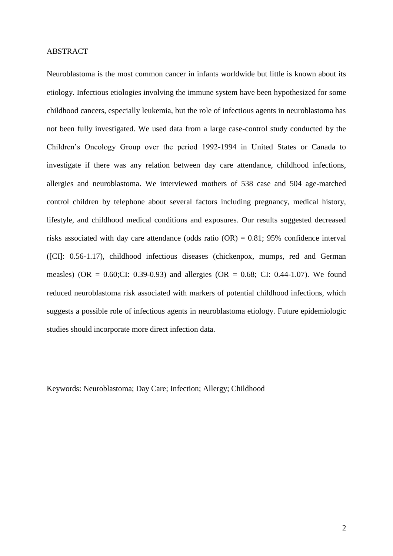#### ABSTRACT

Neuroblastoma is the most common cancer in infants worldwide but little is known about its etiology. Infectious etiologies involving the immune system have been hypothesized for some childhood cancers, especially leukemia, but the role of infectious agents in neuroblastoma has not been fully investigated. We used data from a large case-control study conducted by the Children's Oncology Group over the period 1992-1994 in United States or Canada to investigate if there was any relation between day care attendance, childhood infections, allergies and neuroblastoma. We interviewed mothers of 538 case and 504 age-matched control children by telephone about several factors including pregnancy, medical history, lifestyle, and childhood medical conditions and exposures. Our results suggested decreased risks associated with day care attendance (odds ratio (OR) = 0.81; 95% confidence interval ([CI]: 0.56-1.17), childhood infectious diseases (chickenpox, mumps, red and German measles) (OR =  $0.60$ ;CI: 0.39-0.93) and allergies (OR =  $0.68$ ; CI: 0.44-1.07). We found reduced neuroblastoma risk associated with markers of potential childhood infections, which suggests a possible role of infectious agents in neuroblastoma etiology. Future epidemiologic studies should incorporate more direct infection data.

Keywords: Neuroblastoma; Day Care; Infection; Allergy; Childhood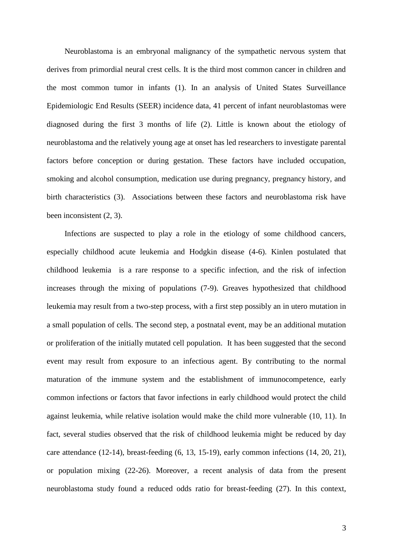Neuroblastoma is an embryonal malignancy of the sympathetic nervous system that derives from primordial neural crest cells. It is the third most common cancer in children and the most common tumor in infants (1). In an analysis of United States Surveillance Epidemiologic End Results (SEER) incidence data, 41 percent of infant neuroblastomas were diagnosed during the first 3 months of life (2). Little is known about the etiology of neuroblastoma and the relatively young age at onset has led researchers to investigate parental factors before conception or during gestation. These factors have included occupation, smoking and alcohol consumption, medication use during pregnancy, pregnancy history, and birth characteristics (3). Associations between these factors and neuroblastoma risk have been inconsistent (2, 3).

Infections are suspected to play a role in the etiology of some childhood cancers, especially childhood acute leukemia and Hodgkin disease (4-6). Kinlen postulated that childhood leukemia is a rare response to a specific infection, and the risk of infection increases through the mixing of populations (7-9). Greaves hypothesized that childhood leukemia may result from a two-step process, with a first step possibly an in utero mutation in a small population of cells. The second step, a postnatal event, may be an additional mutation or proliferation of the initially mutated cell population. It has been suggested that the second event may result from exposure to an infectious agent. By contributing to the normal maturation of the immune system and the establishment of immunocompetence, early common infections or factors that favor infections in early childhood would protect the child against leukemia, while relative isolation would make the child more vulnerable (10, 11). In fact, several studies observed that the risk of childhood leukemia might be reduced by day care attendance (12-14), breast-feeding (6, 13, 15-19), early common infections (14, 20, 21), or population mixing (22-26). Moreover, a recent analysis of data from the present neuroblastoma study found a reduced odds ratio for breast-feeding (27). In this context,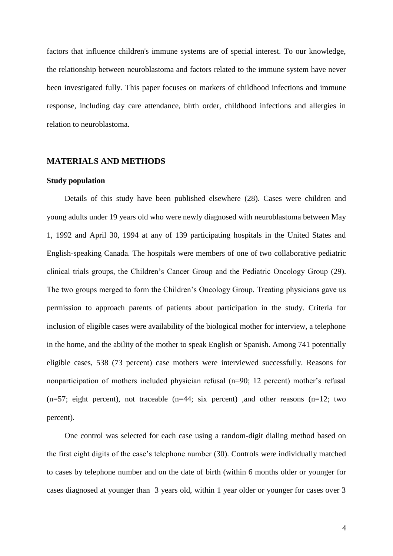factors that influence children's immune systems are of special interest. To our knowledge, the relationship between neuroblastoma and factors related to the immune system have never been investigated fully. This paper focuses on markers of childhood infections and immune response, including day care attendance, birth order, childhood infections and allergies in relation to neuroblastoma.

#### **MATERIALS AND METHODS**

## **Study population**

Details of this study have been published elsewhere (28). Cases were children and young adults under 19 years old who were newly diagnosed with neuroblastoma between May 1, 1992 and April 30, 1994 at any of 139 participating hospitals in the United States and English-speaking Canada. The hospitals were members of one of two collaborative pediatric clinical trials groups, the Children's Cancer Group and the Pediatric Oncology Group (29). The two groups merged to form the Children's Oncology Group. Treating physicians gave us permission to approach parents of patients about participation in the study. Criteria for inclusion of eligible cases were availability of the biological mother for interview, a telephone in the home, and the ability of the mother to speak English or Spanish. Among 741 potentially eligible cases, 538 (73 percent) case mothers were interviewed successfully. Reasons for nonparticipation of mothers included physician refusal (n=90; 12 percent) mother's refusal  $(n=57;$  eight percent), not traceable  $(n=44; \text{ six percent})$  , and other reasons  $(n=12; \text{ two}$ percent).

One control was selected for each case using a random-digit dialing method based on the first eight digits of the case's telephone number (30). Controls were individually matched to cases by telephone number and on the date of birth (within 6 months older or younger for cases diagnosed at younger than 3 years old, within 1 year older or younger for cases over 3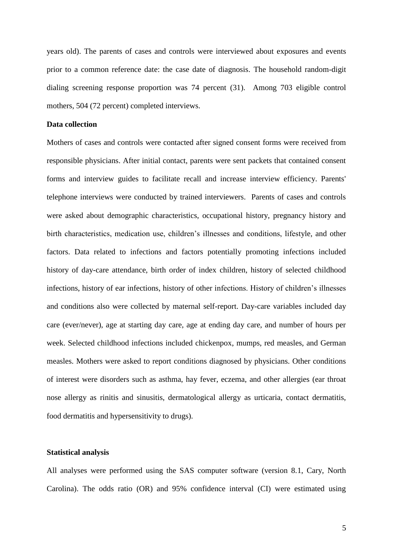years old). The parents of cases and controls were interviewed about exposures and events prior to a common reference date: the case date of diagnosis. The household random-digit dialing screening response proportion was 74 percent (31). Among 703 eligible control mothers, 504 (72 percent) completed interviews.

#### **Data collection**

Mothers of cases and controls were contacted after signed consent forms were received from responsible physicians. After initial contact, parents were sent packets that contained consent forms and interview guides to facilitate recall and increase interview efficiency. Parents' telephone interviews were conducted by trained interviewers. Parents of cases and controls were asked about demographic characteristics, occupational history, pregnancy history and birth characteristics, medication use, children's illnesses and conditions, lifestyle, and other factors. Data related to infections and factors potentially promoting infections included history of day-care attendance, birth order of index children, history of selected childhood infections, history of ear infections, history of other infections. History of children's illnesses and conditions also were collected by maternal self-report. Day-care variables included day care (ever/never), age at starting day care, age at ending day care, and number of hours per week. Selected childhood infections included chickenpox, mumps, red measles, and German measles. Mothers were asked to report conditions diagnosed by physicians. Other conditions of interest were disorders such as asthma, hay fever, eczema, and other allergies (ear throat nose allergy as rinitis and sinusitis, dermatological allergy as urticaria, contact dermatitis, food dermatitis and hypersensitivity to drugs).

#### **Statistical analysis**

All analyses were performed using the SAS computer software (version 8.1, Cary, North Carolina). The odds ratio (OR) and 95% confidence interval (CI) were estimated using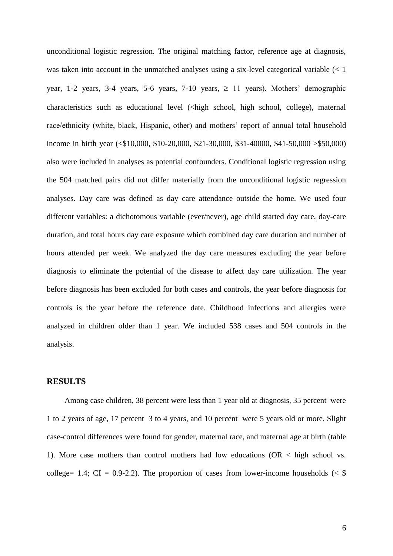unconditional logistic regression. The original matching factor, reference age at diagnosis, was taken into account in the unmatched analyses using a six-level categorical variable (< 1 year, 1-2 years, 3-4 years, 5-6 years, 7-10 years,  $\geq$  11 years). Mothers' demographic characteristics such as educational level (<high school, high school, college), maternal race/ethnicity (white, black, Hispanic, other) and mothers' report of annual total household income in birth year (<\$10,000, \$10-20,000, \$21-30,000, \$31-40000, \$41-50,000 >\$50,000) also were included in analyses as potential confounders. Conditional logistic regression using the 504 matched pairs did not differ materially from the unconditional logistic regression analyses. Day care was defined as day care attendance outside the home. We used four different variables: a dichotomous variable (ever/never), age child started day care, day-care duration, and total hours day care exposure which combined day care duration and number of hours attended per week. We analyzed the day care measures excluding the year before diagnosis to eliminate the potential of the disease to affect day care utilization. The year before diagnosis has been excluded for both cases and controls, the year before diagnosis for controls is the year before the reference date. Childhood infections and allergies were analyzed in children older than 1 year. We included 538 cases and 504 controls in the analysis.

### **RESULTS**

Among case children, 38 percent were less than 1 year old at diagnosis, 35 percent were 1 to 2 years of age, 17 percent 3 to 4 years, and 10 percent were 5 years old or more. Slight case-control differences were found for gender, maternal race, and maternal age at birth (table 1). More case mothers than control mothers had low educations ( $OR <$  high school vs. college= 1.4; CI = 0.9-2.2). The proportion of cases from lower-income households ( $\leq$  \$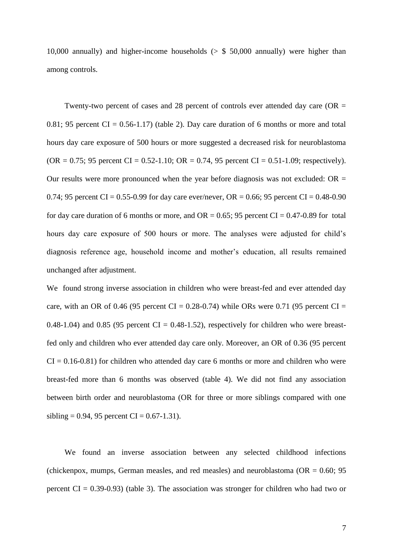10,000 annually) and higher-income households  $(5 \times 50,000)$  annually) were higher than among controls.

Twenty-two percent of cases and 28 percent of controls ever attended day care ( $OR =$ 0.81; 95 percent  $CI = 0.56-1.17$ ) (table 2). Day care duration of 6 months or more and total hours day care exposure of 500 hours or more suggested a decreased risk for neuroblastoma  $(OR = 0.75; 95$  percent  $CI = 0.52-1.10; OR = 0.74, 95$  percent  $CI = 0.51-1.09$ ; respectively). Our results were more pronounced when the year before diagnosis was not excluded:  $OR =$ 0.74; 95 percent CI = 0.55-0.99 for day care ever/never, OR = 0.66; 95 percent CI = 0.48-0.90 for day care duration of 6 months or more, and  $OR = 0.65$ ; 95 percent  $CI = 0.47 - 0.89$  for total hours day care exposure of 500 hours or more. The analyses were adjusted for child's diagnosis reference age, household income and mother's education, all results remained unchanged after adjustment.

We found strong inverse association in children who were breast-fed and ever attended day care, with an OR of 0.46 (95 percent CI =  $0.28-0.74$ ) while ORs were 0.71 (95 percent CI = 0.48-1.04) and 0.85 (95 percent  $CI = 0.48$ -1.52), respectively for children who were breastfed only and children who ever attended day care only. Moreover, an OR of 0.36 (95 percent  $CI = 0.16-0.81$  for children who attended day care 6 months or more and children who were breast-fed more than 6 months was observed (table 4). We did not find any association between birth order and neuroblastoma (OR for three or more siblings compared with one sibling = 0.94, 95 percent CI =  $0.67 - 1.31$ ).

We found an inverse association between any selected childhood infections (chickenpox, mumps, German measles, and red measles) and neuroblastoma ( $OR = 0.60$ ; 95 percent  $CI = 0.39 - 0.93$ ) (table 3). The association was stronger for children who had two or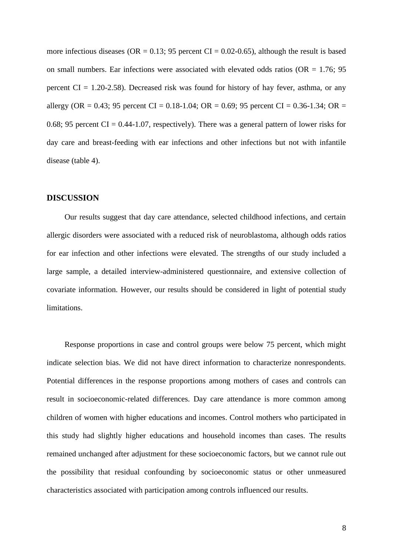more infectious diseases (OR =  $0.13$ ; 95 percent CI =  $0.02$ -0.65), although the result is based on small numbers. Ear infections were associated with elevated odds ratios ( $OR = 1.76$ ; 95 percent  $CI = 1.20 - 2.58$ ). Decreased risk was found for history of hay fever, asthma, or any allergy (OR = 0.43; 95 percent CI = 0.18-1.04; OR = 0.69; 95 percent CI = 0.36-1.34; OR = 0.68; 95 percent CI =  $0.44$ -1.07, respectively). There was a general pattern of lower risks for day care and breast-feeding with ear infections and other infections but not with infantile disease (table 4).

#### **DISCUSSION**

Our results suggest that day care attendance, selected childhood infections, and certain allergic disorders were associated with a reduced risk of neuroblastoma, although odds ratios for ear infection and other infections were elevated. The strengths of our study included a large sample, a detailed interview-administered questionnaire, and extensive collection of covariate information. However, our results should be considered in light of potential study limitations.

Response proportions in case and control groups were below 75 percent, which might indicate selection bias. We did not have direct information to characterize nonrespondents. Potential differences in the response proportions among mothers of cases and controls can result in socioeconomic-related differences. Day care attendance is more common among children of women with higher educations and incomes. Control mothers who participated in this study had slightly higher educations and household incomes than cases. The results remained unchanged after adjustment for these socioeconomic factors, but we cannot rule out the possibility that residual confounding by socioeconomic status or other unmeasured characteristics associated with participation among controls influenced our results.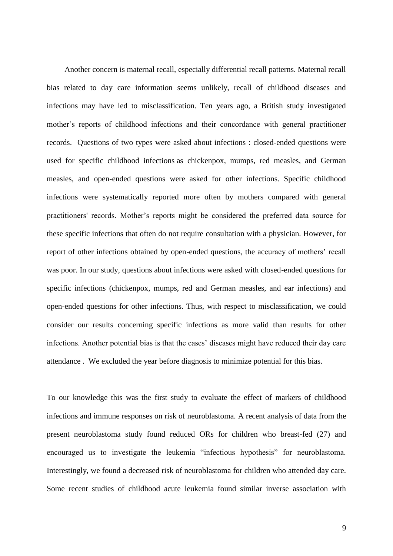Another concern is maternal recall, especially differential recall patterns. Maternal recall bias related to day care information seems unlikely, recall of childhood diseases and infections may have led to misclassification. Ten years ago, a British study investigated mother's reports of childhood infections and their concordance with general practitioner records. Questions of two types were asked about infections : closed-ended questions were used for specific childhood infections as chickenpox, mumps, red measles, and German measles, and open-ended questions were asked for other infections. Specific childhood infections were systematically reported more often by mothers compared with general practitioners' records. Mother's reports might be considered the preferred data source for these specific infections that often do not require consultation with a physician. However, for report of other infections obtained by open-ended questions, the accuracy of mothers' recall was poor. In our study, questions about infections were asked with closed-ended questions for specific infections (chickenpox, mumps, red and German measles, and ear infections) and open-ended questions for other infections. Thus, with respect to misclassification, we could consider our results concerning specific infections as more valid than results for other infections. Another potential bias is that the cases' diseases might have reduced their day care attendance . We excluded the year before diagnosis to minimize potential for this bias.

To our knowledge this was the first study to evaluate the effect of markers of childhood infections and immune responses on risk of neuroblastoma. A recent analysis of data from the present neuroblastoma study found reduced ORs for children who breast-fed (27) and encouraged us to investigate the leukemia "infectious hypothesis" for neuroblastoma. Interestingly, we found a decreased risk of neuroblastoma for children who attended day care. Some recent studies of childhood acute leukemia found similar inverse association with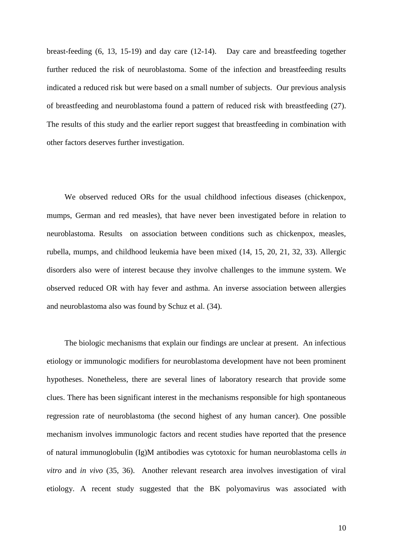breast-feeding (6, 13, 15-19) and day care (12-14). Day care and breastfeeding together further reduced the risk of neuroblastoma. Some of the infection and breastfeeding results indicated a reduced risk but were based on a small number of subjects. Our previous analysis of breastfeeding and neuroblastoma found a pattern of reduced risk with breastfeeding (27). The results of this study and the earlier report suggest that breastfeeding in combination with other factors deserves further investigation.

We observed reduced ORs for the usual childhood infectious diseases (chickenpox, mumps, German and red measles), that have never been investigated before in relation to neuroblastoma. Results on association between conditions such as chickenpox, measles, rubella, mumps, and childhood leukemia have been mixed (14, 15, 20, 21, 32, 33). Allergic disorders also were of interest because they involve challenges to the immune system. We observed reduced OR with hay fever and asthma. An inverse association between allergies and neuroblastoma also was found by Schuz et al. (34).

The biologic mechanisms that explain our findings are unclear at present. An infectious etiology or immunologic modifiers for neuroblastoma development have not been prominent hypotheses. Nonetheless, there are several lines of laboratory research that provide some clues. There has been significant interest in the mechanisms responsible for high spontaneous regression rate of neuroblastoma (the second highest of any human cancer). One possible mechanism involves immunologic factors and recent studies have reported that the presence of natural immunoglobulin (Ig)M antibodies was cytotoxic for human neuroblastoma cells *in vitro* and *in vivo* (35, 36). Another relevant research area involves investigation of viral etiology. A recent study suggested that the BK polyomavirus was associated with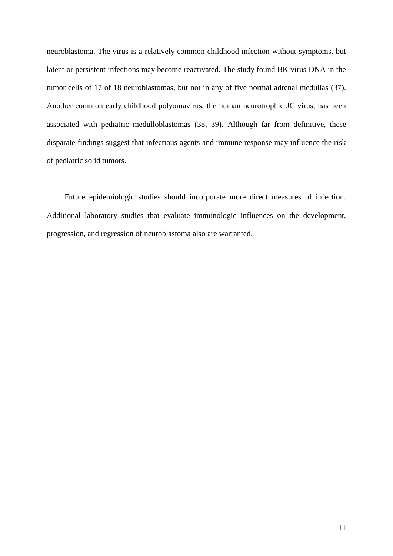neuroblastoma. The virus is a relatively common childhood infection without symptoms, but latent or persistent infections may become reactivated. The study found BK virus DNA in the tumor cells of 17 of 18 neuroblastomas, but not in any of five normal adrenal medullas (37). Another common early childhood polyomavirus, the human neurotrophic JC virus, has been associated with pediatric medulloblastomas (38, 39). Although far from definitive, these disparate findings suggest that infectious agents and immune response may influence the risk of pediatric solid tumors.

Future epidemiologic studies should incorporate more direct measures of infection. Additional laboratory studies that evaluate immunologic influences on the development, progression, and regression of neuroblastoma also are warranted.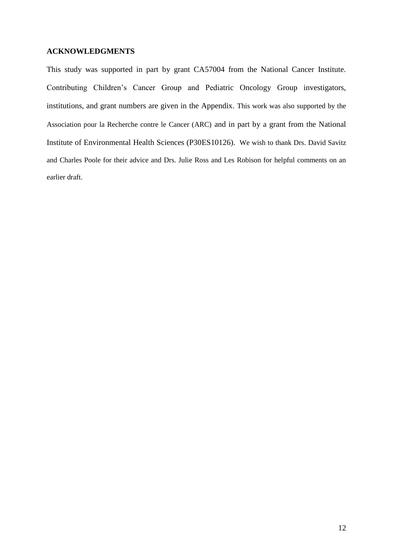## **ACKNOWLEDGMENTS**

This study was supported in part by grant CA57004 from the National Cancer Institute. Contributing Children's Cancer Group and Pediatric Oncology Group investigators, institutions, and grant numbers are given in the Appendix. This work was also supported by the Association pour la Recherche contre le Cancer (ARC) and in part by a grant from the National Institute of Environmental Health Sciences (P30ES10126). We wish to thank Drs. David Savitz and Charles Poole for their advice and Drs. Julie Ross and Les Robison for helpful comments on an earlier draft.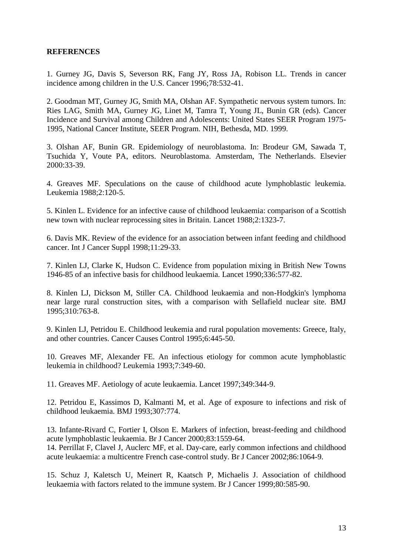## **REFERENCES**

1. Gurney JG, Davis S, Severson RK, Fang JY, Ross JA, Robison LL. Trends in cancer incidence among children in the U.S. Cancer 1996;78:532-41.

2. Goodman MT, Gurney JG, Smith MA, Olshan AF. Sympathetic nervous system tumors. In: Ries LAG, Smith MA, Gurney JG, Linet M, Tamra T, Young JL, Bunin GR (eds). Cancer Incidence and Survival among Children and Adolescents: United States SEER Program 1975- 1995, National Cancer Institute, SEER Program. NIH, Bethesda, MD. 1999.

3. Olshan AF, Bunin GR. Epidemiology of neuroblastoma. In: Brodeur GM, Sawada T, Tsuchida Y, Voute PA, editors. Neuroblastoma. Amsterdam, The Netherlands. Elsevier 2000:33-39.

4. Greaves MF. Speculations on the cause of childhood acute lymphoblastic leukemia. Leukemia 1988;2:120-5.

5. Kinlen L. Evidence for an infective cause of childhood leukaemia: comparison of a Scottish new town with nuclear reprocessing sites in Britain. Lancet 1988;2:1323-7.

6. Davis MK. Review of the evidence for an association between infant feeding and childhood cancer. Int J Cancer Suppl 1998;11:29-33.

7. Kinlen LJ, Clarke K, Hudson C. Evidence from population mixing in British New Towns 1946-85 of an infective basis for childhood leukaemia. Lancet 1990;336:577-82.

8. Kinlen LJ, Dickson M, Stiller CA. Childhood leukaemia and non-Hodgkin's lymphoma near large rural construction sites, with a comparison with Sellafield nuclear site. BMJ 1995;310:763-8.

9. Kinlen LJ, Petridou E. Childhood leukemia and rural population movements: Greece, Italy, and other countries. Cancer Causes Control 1995;6:445-50.

10. Greaves MF, Alexander FE. An infectious etiology for common acute lymphoblastic leukemia in childhood? Leukemia 1993;7:349-60.

11. Greaves MF. Aetiology of acute leukaemia. Lancet 1997;349:344-9.

12. Petridou E, Kassimos D, Kalmanti M, et al. Age of exposure to infections and risk of childhood leukaemia. BMJ 1993;307:774.

13. Infante-Rivard C, Fortier I, Olson E. Markers of infection, breast-feeding and childhood acute lymphoblastic leukaemia. Br J Cancer 2000;83:1559-64. 14. Perrillat F, Clavel J, Auclerc MF, et al. Day-care, early common infections and childhood acute leukaemia: a multicentre French case-control study. Br J Cancer 2002;86:1064-9.

15. Schuz J, Kaletsch U, Meinert R, Kaatsch P, Michaelis J. Association of childhood leukaemia with factors related to the immune system. Br J Cancer 1999;80:585-90.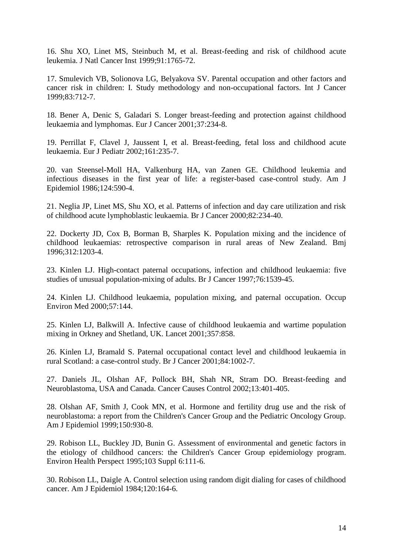16. Shu XO, Linet MS, Steinbuch M, et al. Breast-feeding and risk of childhood acute leukemia. J Natl Cancer Inst 1999;91:1765-72.

17. Smulevich VB, Solionova LG, Belyakova SV. Parental occupation and other factors and cancer risk in children: I. Study methodology and non-occupational factors. Int J Cancer 1999;83:712-7.

18. Bener A, Denic S, Galadari S. Longer breast-feeding and protection against childhood leukaemia and lymphomas. Eur J Cancer 2001;37:234-8.

19. Perrillat F, Clavel J, Jaussent I, et al. Breast-feeding, fetal loss and childhood acute leukaemia. Eur J Pediatr 2002;161:235-7.

20. van Steensel-Moll HA, Valkenburg HA, van Zanen GE. Childhood leukemia and infectious diseases in the first year of life: a register-based case-control study. Am J Epidemiol 1986;124:590-4.

21. Neglia JP, Linet MS, Shu XO, et al. Patterns of infection and day care utilization and risk of childhood acute lymphoblastic leukaemia. Br J Cancer 2000;82:234-40.

22. Dockerty JD, Cox B, Borman B, Sharples K. Population mixing and the incidence of childhood leukaemias: retrospective comparison in rural areas of New Zealand. Bmj 1996;312:1203-4.

23. Kinlen LJ. High-contact paternal occupations, infection and childhood leukaemia: five studies of unusual population-mixing of adults. Br J Cancer 1997;76:1539-45.

24. Kinlen LJ. Childhood leukaemia, population mixing, and paternal occupation. Occup Environ Med 2000;57:144.

25. Kinlen LJ, Balkwill A. Infective cause of childhood leukaemia and wartime population mixing in Orkney and Shetland, UK. Lancet 2001;357:858.

26. Kinlen LJ, Bramald S. Paternal occupational contact level and childhood leukaemia in rural Scotland: a case-control study. Br J Cancer 2001;84:1002-7.

27. Daniels JL, Olshan AF, Pollock BH, Shah NR, Stram DO. Breast-feeding and Neuroblastoma, USA and Canada. Cancer Causes Control 2002;13:401-405.

28. Olshan AF, Smith J, Cook MN, et al. Hormone and fertility drug use and the risk of neuroblastoma: a report from the Children's Cancer Group and the Pediatric Oncology Group. Am J Epidemiol 1999;150:930-8.

29. Robison LL, Buckley JD, Bunin G. Assessment of environmental and genetic factors in the etiology of childhood cancers: the Children's Cancer Group epidemiology program. Environ Health Perspect 1995;103 Suppl 6:111-6.

30. Robison LL, Daigle A. Control selection using random digit dialing for cases of childhood cancer. Am J Epidemiol 1984;120:164-6.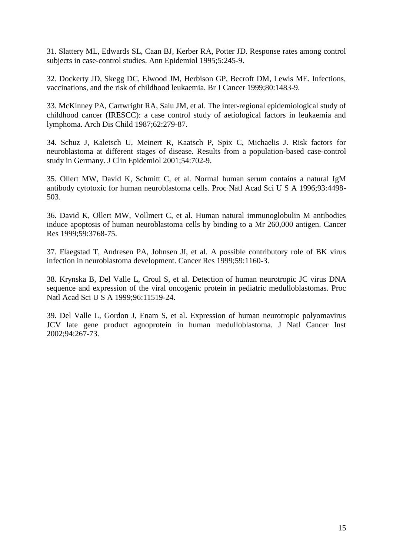31. Slattery ML, Edwards SL, Caan BJ, Kerber RA, Potter JD. Response rates among control subjects in case-control studies. Ann Epidemiol 1995;5:245-9.

32. Dockerty JD, Skegg DC, Elwood JM, Herbison GP, Becroft DM, Lewis ME. Infections, vaccinations, and the risk of childhood leukaemia. Br J Cancer 1999;80:1483-9.

33. McKinney PA, Cartwright RA, Saiu JM, et al. The inter-regional epidemiological study of childhood cancer (IRESCC): a case control study of aetiological factors in leukaemia and lymphoma. Arch Dis Child 1987;62:279-87.

34. Schuz J, Kaletsch U, Meinert R, Kaatsch P, Spix C, Michaelis J. Risk factors for neuroblastoma at different stages of disease. Results from a population-based case-control study in Germany. J Clin Epidemiol 2001;54:702-9.

35. Ollert MW, David K, Schmitt C, et al. Normal human serum contains a natural IgM antibody cytotoxic for human neuroblastoma cells. Proc Natl Acad Sci U S A 1996;93:4498- 503.

36. David K, Ollert MW, Vollmert C, et al. Human natural immunoglobulin M antibodies induce apoptosis of human neuroblastoma cells by binding to a Mr 260,000 antigen. Cancer Res 1999;59:3768-75.

37. Flaegstad T, Andresen PA, Johnsen JI, et al. A possible contributory role of BK virus infection in neuroblastoma development. Cancer Res 1999;59:1160-3.

38. Krynska B, Del Valle L, Croul S, et al. Detection of human neurotropic JC virus DNA sequence and expression of the viral oncogenic protein in pediatric medulloblastomas. Proc Natl Acad Sci U S A 1999;96:11519-24.

39. Del Valle L, Gordon J, Enam S, et al. Expression of human neurotropic polyomavirus JCV late gene product agnoprotein in human medulloblastoma. J Natl Cancer Inst 2002;94:267-73.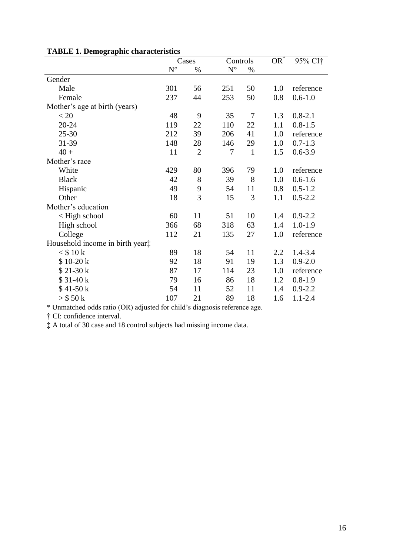|                                 | Cases       |                | Controls             |              | $OR^*$ | 95% CI+     |
|---------------------------------|-------------|----------------|----------------------|--------------|--------|-------------|
|                                 | $N^{\circ}$ | $\%$           | $\mathbf{N}^{\circ}$ | $\%$         |        |             |
| Gender                          |             |                |                      |              |        |             |
| Male                            | 301         | 56             | 251                  | 50           | 1.0    | reference   |
| Female                          | 237         | 44             | 253                  | 50           | 0.8    | $0.6 - 1.0$ |
| Mother's age at birth (years)   |             |                |                      |              |        |             |
| < 20                            | 48          | 9              | 35                   | 7            | 1.3    | $0.8 - 2.1$ |
| $20 - 24$                       | 119         | 22             | 110                  | 22           | 1.1    | $0.8 - 1.5$ |
| $25 - 30$                       | 212         | 39             | 206                  | 41           | 1.0    | reference   |
| 31-39                           | 148         | 28             | 146                  | 29           | 1.0    | $0.7 - 1.3$ |
| $40 +$                          | 11          | $\overline{2}$ | 7                    | $\mathbf{1}$ | 1.5    | $0.6 - 3.9$ |
| Mother's race                   |             |                |                      |              |        |             |
| White                           | 429         | 80             | 396                  | 79           | 1.0    | reference   |
| <b>Black</b>                    | 42          | 8              | 39                   | 8            | 1.0    | $0.6 - 1.6$ |
| Hispanic                        | 49          | 9              | 54                   | 11           | 0.8    | $0.5 - 1.2$ |
| Other                           | 18          | 3              | 15                   | 3            | 1.1    | $0.5 - 2.2$ |
| Mother's education              |             |                |                      |              |        |             |
| < High school                   | 60          | 11             | 51                   | 10           | 1.4    | $0.9 - 2.2$ |
| High school                     | 366         | 68             | 318                  | 63           | 1.4    | $1.0 - 1.9$ |
| College                         | 112         | 21             | 135                  | 27           | 1.0    | reference   |
| Household income in birth year: |             |                |                      |              |        |             |
| $<$ \$10 k                      | 89          | 18             | 54                   | 11           | 2.2    | 1.4-3.4     |
| \$10-20 k                       | 92          | 18             | 91                   | 19           | 1.3    | $0.9 - 2.0$ |
| $$21-30 k$                      | 87          | 17             | 114                  | 23           | 1.0    | reference   |
| $$31-40k$                       | 79          | 16             | 86                   | 18           | 1.2    | $0.8 - 1.9$ |
| $$41-50 k$                      | 54          | 11             | 52                   | 11           | 1.4    | $0.9 - 2.2$ |
| $>$ \$ 50 k                     | 107         | 21             | 89                   | 18           | 1.6    | $1.1 - 2.4$ |

## **TABLE 1. Demographic characteristics**

\* Unmatched odds ratio (OR) adjusted for child's diagnosis reference age.

† CI: confidence interval.

‡ A total of 30 case and 18 control subjects had missing income data.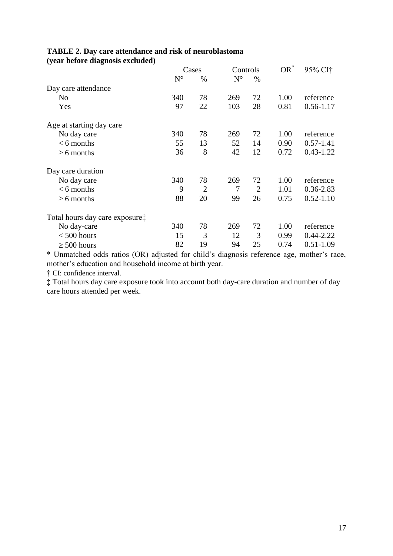|                                          | Cases       |                | Controls    |                | $OR^*$ | 95% CI†       |
|------------------------------------------|-------------|----------------|-------------|----------------|--------|---------------|
|                                          | $N^{\circ}$ | $\%$           | $N^{\circ}$ | $\%$           |        |               |
| Day care attendance                      |             |                |             |                |        |               |
| N <sub>0</sub>                           | 340         | 78             | 269         | 72             | 1.00   | reference     |
| Yes                                      | 97          | 22             | 103         | 28             | 0.81   | $0.56 - 1.17$ |
| Age at starting day care                 |             |                |             |                |        |               |
| No day care                              | 340         | 78             | 269         | 72             | 1.00   | reference     |
| $< 6$ months                             | 55          | 13             | 52          | 14             | 0.90   | $0.57 - 1.41$ |
| $\geq 6$ months                          | 36          | 8              | 42          | 12             | 0.72   | $0.43 - 1.22$ |
| Day care duration                        |             |                |             |                |        |               |
| No day care                              | 340         | 78             | 269         | 72             | 1.00   | reference     |
| $< 6$ months                             | 9           | $\overline{2}$ | 7           | $\overline{2}$ | 1.01   | $0.36 - 2.83$ |
| $\geq 6$ months                          | 88          | 20             | 99          | 26             | 0.75   | $0.52 - 1.10$ |
| Total hours day care exposure $\ddagger$ |             |                |             |                |        |               |
| No day-care                              | 340         | 78             | 269         | 72             | 1.00   | reference     |
| $< 500$ hours                            | 15          | 3              | 12          | 3              | 0.99   | $0.44 - 2.22$ |
| $\geq 500$ hours                         | 82          | 19             | 94          | 25             | 0.74   | $0.51 - 1.09$ |

#### **TABLE 2. Day care attendance and risk of neuroblastoma (year before diagnosis excluded)**

\* Unmatched odds ratios (OR) adjusted for child's diagnosis reference age, mother's race, mother's education and household income at birth year.

† CI: confidence interval.

‡ Total hours day care exposure took into account both day-care duration and number of day care hours attended per week.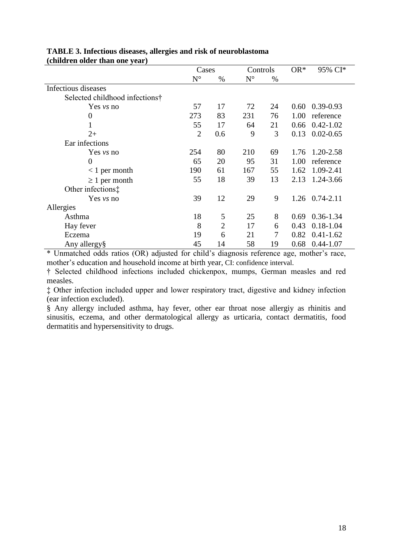|                                | Cases          |                | Controls    |                | $OR^*$ | 95% CI*       |
|--------------------------------|----------------|----------------|-------------|----------------|--------|---------------|
|                                | $N^{\circ}$    | %              | $N^{\circ}$ | %              |        |               |
| Infectious diseases            |                |                |             |                |        |               |
| Selected childhood infections† |                |                |             |                |        |               |
| Yes <i>vs</i> no               | 57             | 17             | 72          | 24             | 0.60   | $0.39 - 0.93$ |
| $\theta$                       | 273            | 83             | 231         | 76             | 1.00   | reference     |
| 1                              | 55             | 17             | 64          | 21             | 0.66   | $0.42 - 1.02$ |
| $2+$                           | $\overline{2}$ | 0.6            | 9           | 3              | 0.13   | $0.02 - 0.65$ |
| Ear infections                 |                |                |             |                |        |               |
| Yes <i>vs</i> no               | 254            | 80             | 210         | 69             | 1.76   | 1.20-2.58     |
| $\theta$                       | 65             | 20             | 95          | 31             | 1.00   | reference     |
| $< 1$ per month                | 190            | 61             | 167         | 55             | 1.62   | 1.09-2.41     |
| $\geq 1$ per month             | 55             | 18             | 39          | 13             | 2.13   | 1.24-3.66     |
| Other infections:              |                |                |             |                |        |               |
| Yes $vs$ no                    | 39             | 12             | 29          | 9              | 1.26   | $0.74 - 2.11$ |
| Allergies                      |                |                |             |                |        |               |
| Asthma                         | 18             | 5              | 25          | 8              | 0.69   | $0.36 - 1.34$ |
| Hay fever                      | 8              | $\overline{2}$ | 17          | 6              | 0.43   | $0.18 - 1.04$ |
| Eczema                         | 19             | 6              | 21          | $\overline{7}$ | 0.82   | $0.41 - 1.62$ |
| Any allergy§                   | 45             | 14             | 58          | 19             | 0.68   | $0.44 - 1.07$ |

## **TABLE 3. Infectious diseases, allergies and risk of neuroblastoma (children older than one year)**

\* Unmatched odds ratios (OR) adjusted for child's diagnosis reference age, mother's race, mother's education and household income at birth year, CI: confidence interval.

† Selected childhood infections included chickenpox, mumps, German measles and red measles.

‡ Other infection included upper and lower respiratory tract, digestive and kidney infection (ear infection excluded).

§ Any allergy included asthma, hay fever, other ear throat nose allergiy as rhinitis and sinusitis, eczema, and other dermatological allergy as urticaria, contact dermatitis, food dermatitis and hypersensitivity to drugs.